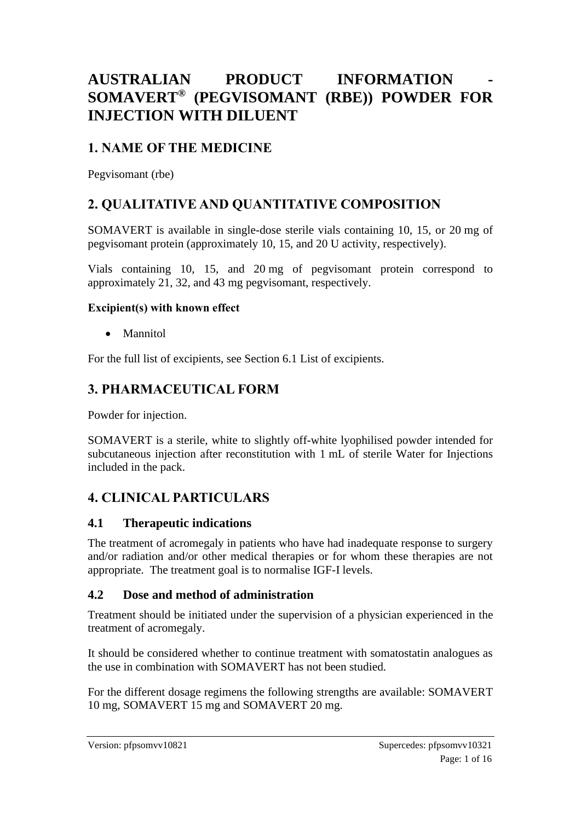# **AUSTRALIAN PRODUCT INFORMATION - SOMAVERT® (PEGVISOMANT (RBE)) POWDER FOR INJECTION WITH DILUENT**

# **1. NAME OF THE MEDICINE**

Pegvisomant (rbe)

# **2. QUALITATIVE AND QUANTITATIVE COMPOSITION**

SOMAVERT is available in single-dose sterile vials containing 10, 15, or 20 mg of pegvisomant protein (approximately 10, 15, and 20 U activity, respectively).

Vials containing 10, 15, and 20 mg of pegvisomant protein correspond to approximately 21, 32, and 43 mg pegvisomant, respectively.

#### **Excipient(s) with known effect**

• Mannitol

For the full list of excipients, see Section 6.1 List of excipients.

## **3. PHARMACEUTICAL FORM**

Powder for injection.

SOMAVERT is a sterile, white to slightly off-white lyophilised powder intended for subcutaneous injection after reconstitution with 1 mL of sterile Water for Injections included in the pack.

## **4. CLINICAL PARTICULARS**

#### **4.1 Therapeutic indications**

The treatment of acromegaly in patients who have had inadequate response to surgery and/or radiation and/or other medical therapies or for whom these therapies are not appropriate. The treatment goal is to normalise IGF-I levels.

#### **4.2 Dose and method of administration**

Treatment should be initiated under the supervision of a physician experienced in the treatment of acromegaly.

It should be considered whether to continue treatment with somatostatin analogues as the use in combination with SOMAVERT has not been studied.

For the different dosage regimens the following strengths are available: SOMAVERT 10 mg, SOMAVERT 15 mg and SOMAVERT 20 mg.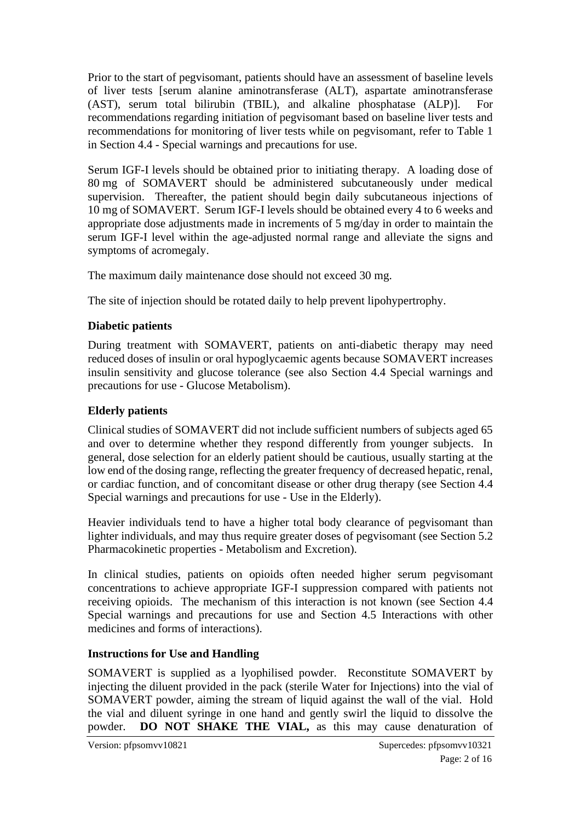Prior to the start of pegvisomant, patients should have an assessment of baseline levels of liver tests [serum alanine aminotransferase (ALT), aspartate aminotransferase (AST), serum total bilirubin (TBIL), and alkaline phosphatase (ALP)]. For recommendations regarding initiation of pegvisomant based on baseline liver tests and recommendations for monitoring of liver tests while on pegvisomant, refer to Table 1 in Section 4.4 - Special warnings and precautions for use.

Serum IGF-I levels should be obtained prior to initiating therapy. A loading dose of 80 mg of SOMAVERT should be administered subcutaneously under medical supervision. Thereafter, the patient should begin daily subcutaneous injections of 10 mg of SOMAVERT. Serum IGF-I levels should be obtained every 4 to 6 weeks and appropriate dose adjustments made in increments of 5 mg/day in order to maintain the serum IGF-I level within the age-adjusted normal range and alleviate the signs and symptoms of acromegaly.

The maximum daily maintenance dose should not exceed 30 mg.

The site of injection should be rotated daily to help prevent lipohypertrophy.

#### **Diabetic patients**

During treatment with SOMAVERT, patients on anti-diabetic therapy may need reduced doses of insulin or oral hypoglycaemic agents because SOMAVERT increases insulin sensitivity and glucose tolerance (see also Section 4.4 Special warnings and precautions for use - Glucose Metabolism).

#### **Elderly patients**

Clinical studies of SOMAVERT did not include sufficient numbers of subjects aged 65 and over to determine whether they respond differently from younger subjects. In general, dose selection for an elderly patient should be cautious, usually starting at the low end of the dosing range, reflecting the greater frequency of decreased hepatic, renal, or cardiac function, and of concomitant disease or other drug therapy (see Section 4.4 Special warnings and precautions for use - Use in the Elderly).

Heavier individuals tend to have a higher total body clearance of pegvisomant than lighter individuals, and may thus require greater doses of pegvisomant (see Section 5.2 Pharmacokinetic properties - Metabolism and Excretion).

In clinical studies, patients on opioids often needed higher serum pegvisomant concentrations to achieve appropriate IGF-I suppression compared with patients not receiving opioids. The mechanism of this interaction is not known (see Section 4.4 Special warnings and precautions for use and Section 4.5 Interactions with other medicines and forms of interactions).

#### **Instructions for Use and Handling**

SOMAVERT is supplied as a lyophilised powder. Reconstitute SOMAVERT by injecting the diluent provided in the pack (sterile Water for Injections) into the vial of SOMAVERT powder, aiming the stream of liquid against the wall of the vial. Hold the vial and diluent syringe in one hand and gently swirl the liquid to dissolve the powder. **DO NOT SHAKE THE VIAL,** as this may cause denaturation of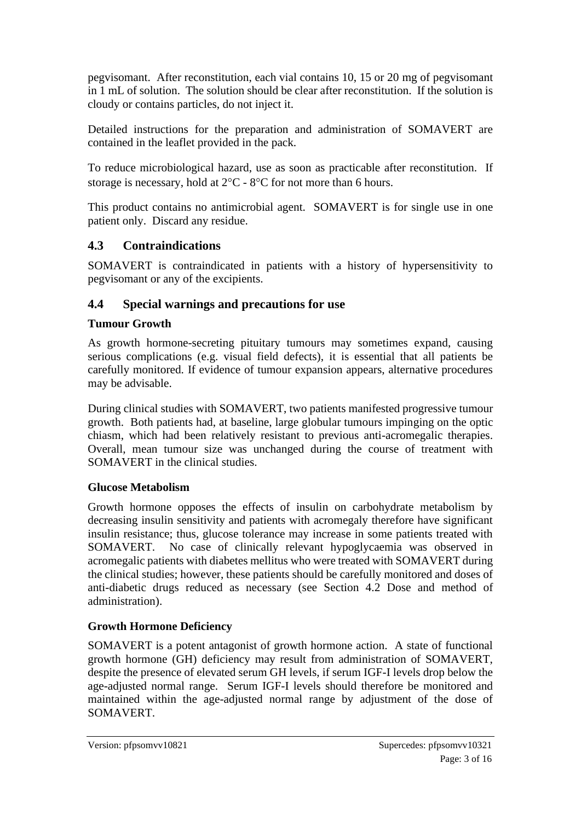pegvisomant. After reconstitution, each vial contains 10, 15 or 20 mg of pegvisomant in 1 mL of solution. The solution should be clear after reconstitution. If the solution is cloudy or contains particles, do not inject it.

Detailed instructions for the preparation and administration of SOMAVERT are contained in the leaflet provided in the pack.

To reduce microbiological hazard, use as soon as practicable after reconstitution. If storage is necessary, hold at  $2^{\circ}C - 8^{\circ}C$  for not more than 6 hours.

This product contains no antimicrobial agent. SOMAVERT is for single use in one patient only. Discard any residue.

### **4.3 Contraindications**

SOMAVERT is contraindicated in patients with a history of hypersensitivity to pegvisomant or any of the excipients.

### **4.4 Special warnings and precautions for use**

#### **Tumour Growth**

As growth hormone-secreting pituitary tumours may sometimes expand, causing serious complications (e.g. visual field defects), it is essential that all patients be carefully monitored. If evidence of tumour expansion appears, alternative procedures may be advisable.

During clinical studies with SOMAVERT, two patients manifested progressive tumour growth. Both patients had, at baseline, large globular tumours impinging on the optic chiasm, which had been relatively resistant to previous anti-acromegalic therapies. Overall, mean tumour size was unchanged during the course of treatment with SOMAVERT in the clinical studies.

#### **Glucose Metabolism**

Growth hormone opposes the effects of insulin on carbohydrate metabolism by decreasing insulin sensitivity and patients with acromegaly therefore have significant insulin resistance; thus, glucose tolerance may increase in some patients treated with SOMAVERT. No case of clinically relevant hypoglycaemia was observed in acromegalic patients with diabetes mellitus who were treated with SOMAVERT during the clinical studies; however, these patients should be carefully monitored and doses of anti-diabetic drugs reduced as necessary (see Section 4.2 Dose and method of administration).

#### **Growth Hormone Deficiency**

SOMAVERT is a potent antagonist of growth hormone action. A state of functional growth hormone (GH) deficiency may result from administration of SOMAVERT, despite the presence of elevated serum GH levels, if serum IGF-I levels drop below the age-adjusted normal range. Serum IGF-I levels should therefore be monitored and maintained within the age-adjusted normal range by adjustment of the dose of **SOMAVERT.**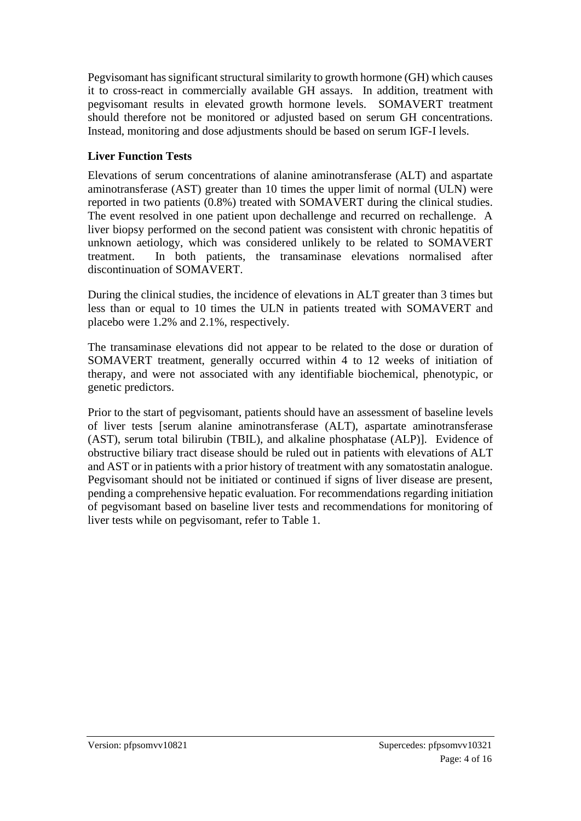Pegvisomant has significant structural similarity to growth hormone (GH) which causes it to cross-react in commercially available GH assays. In addition, treatment with pegvisomant results in elevated growth hormone levels. SOMAVERT treatment should therefore not be monitored or adjusted based on serum GH concentrations. Instead, monitoring and dose adjustments should be based on serum IGF-I levels.

### **Liver Function Tests**

Elevations of serum concentrations of alanine aminotransferase (ALT) and aspartate aminotransferase (AST) greater than 10 times the upper limit of normal (ULN) were reported in two patients (0.8%) treated with SOMAVERT during the clinical studies. The event resolved in one patient upon dechallenge and recurred on rechallenge. A liver biopsy performed on the second patient was consistent with chronic hepatitis of unknown aetiology, which was considered unlikely to be related to SOMAVERT treatment. In both patients, the transaminase elevations normalised after discontinuation of SOMAVERT.

During the clinical studies, the incidence of elevations in ALT greater than 3 times but less than or equal to 10 times the ULN in patients treated with SOMAVERT and placebo were 1.2% and 2.1%, respectively.

The transaminase elevations did not appear to be related to the dose or duration of SOMAVERT treatment, generally occurred within 4 to 12 weeks of initiation of therapy, and were not associated with any identifiable biochemical, phenotypic, or genetic predictors.

Prior to the start of pegvisomant, patients should have an assessment of baseline levels of liver tests [serum alanine aminotransferase (ALT), aspartate aminotransferase (AST), serum total bilirubin (TBIL), and alkaline phosphatase (ALP)]. Evidence of obstructive biliary tract disease should be ruled out in patients with elevations of ALT and AST or in patients with a prior history of treatment with any somatostatin analogue. Pegvisomant should not be initiated or continued if signs of liver disease are present, pending a comprehensive hepatic evaluation. For recommendations regarding initiation of pegvisomant based on baseline liver tests and recommendations for monitoring of liver tests while on pegvisomant, refer to Table 1.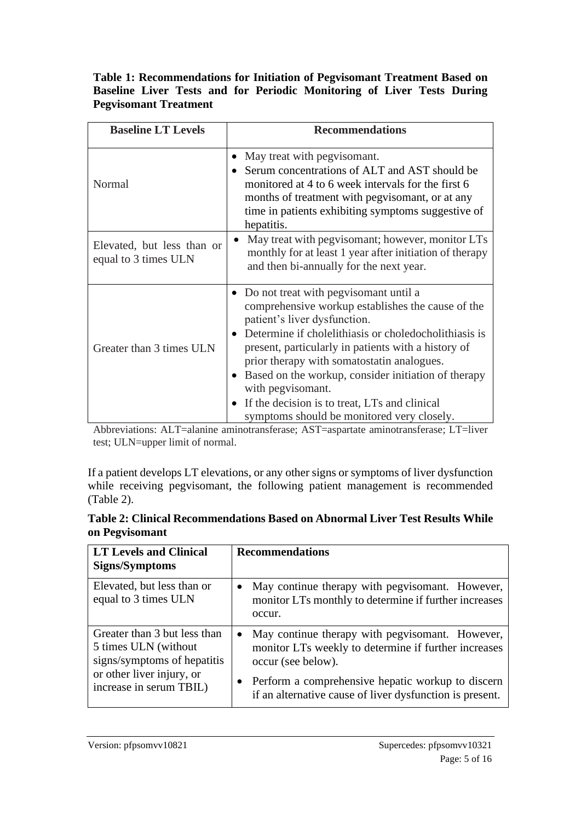#### **Table 1: Recommendations for Initiation of Pegvisomant Treatment Based on Baseline Liver Tests and for Periodic Monitoring of Liver Tests During Pegvisomant Treatment**

| <b>Baseline LT Levels</b>                          | <b>Recommendations</b>                                                                                                                                                                                                                                                                                                                                                                                                                                                |
|----------------------------------------------------|-----------------------------------------------------------------------------------------------------------------------------------------------------------------------------------------------------------------------------------------------------------------------------------------------------------------------------------------------------------------------------------------------------------------------------------------------------------------------|
| Normal                                             | May treat with pegvisomant.<br>Serum concentrations of ALT and AST should be<br>monitored at 4 to 6 week intervals for the first 6<br>months of treatment with pegvisomant, or at any<br>time in patients exhibiting symptoms suggestive of<br>hepatitis.                                                                                                                                                                                                             |
| Elevated, but less than or<br>equal to 3 times ULN | May treat with pegvisomant; however, monitor LTs<br>monthly for at least 1 year after initiation of therapy<br>and then bi-annually for the next year.                                                                                                                                                                                                                                                                                                                |
| Greater than 3 times ULN                           | • Do not treat with pegvisomant until a<br>comprehensive workup establishes the cause of the<br>patient's liver dysfunction.<br>Determine if cholelithiasis or choledocholithiasis is<br>present, particularly in patients with a history of<br>prior therapy with somatostatin analogues.<br>Based on the workup, consider initiation of therapy<br>with pegvisomant.<br>If the decision is to treat, LTs and clinical<br>symptoms should be monitored very closely. |

Abbreviations: ALT=alanine aminotransferase; AST=aspartate aminotransferase; LT=liver test; ULN=upper limit of normal.

If a patient develops LT elevations, or any other signs or symptoms of liver dysfunction while receiving pegvisomant, the following patient management is recommended (Table 2).

| Table 2: Clinical Recommendations Based on Abnormal Liver Test Results While |  |
|------------------------------------------------------------------------------|--|
| on Pegvisomant                                                               |  |

| <b>LT Levels and Clinical</b><br>Signs/Symptoms                                                                   | <b>Recommendations</b>                                                                                                                                                             |
|-------------------------------------------------------------------------------------------------------------------|------------------------------------------------------------------------------------------------------------------------------------------------------------------------------------|
| Elevated, but less than or<br>equal to 3 times ULN                                                                | May continue therapy with pegvisomant. However,<br>monitor LTs monthly to determine if further increases<br>occur.                                                                 |
| Greater than 3 but less than<br>5 times ULN (without)<br>signs/symptoms of hepatitis<br>or other liver injury, or | May continue therapy with pegvisomant. However,<br>monitor LTs weekly to determine if further increases<br>occur (see below).<br>Perform a comprehensive hepatic workup to discern |
| increase in serum TBIL)                                                                                           | if an alternative cause of liver dysfunction is present.                                                                                                                           |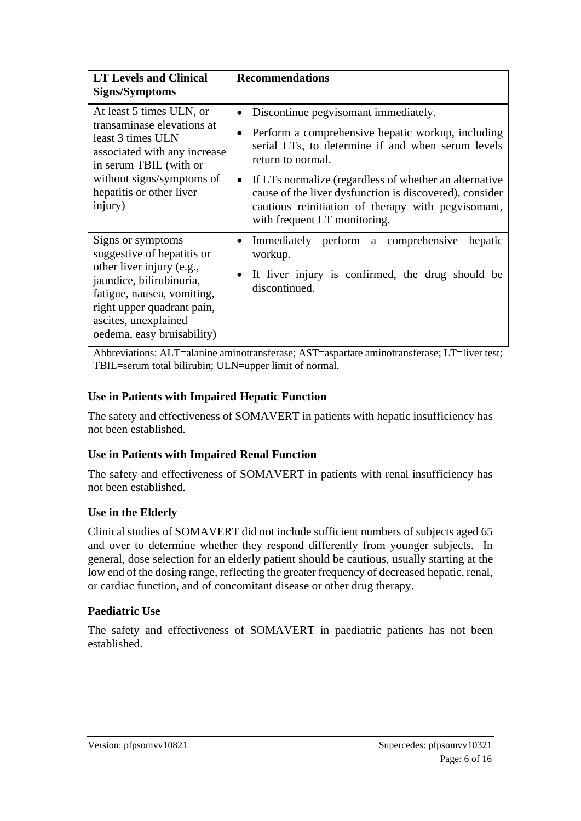| <b>LT Levels and Clinical</b><br><b>Signs/Symptoms</b>                                                                                                                                                                     | <b>Recommendations</b>                                                                                                                                                                                                                                                                                                                                                         |
|----------------------------------------------------------------------------------------------------------------------------------------------------------------------------------------------------------------------------|--------------------------------------------------------------------------------------------------------------------------------------------------------------------------------------------------------------------------------------------------------------------------------------------------------------------------------------------------------------------------------|
| At least 5 times ULN, or<br>transaminase elevations at<br>least 3 times ULN<br>associated with any increase<br>in serum TBIL (with or<br>without signs/symptoms of<br>hepatitis or other liver<br>injury)                  | Discontinue pegvisomant immediately.<br>Perform a comprehensive hepatic workup, including<br>serial LTs, to determine if and when serum levels<br>return to normal.<br>If LTs normalize (regardless of whether an alternative<br>cause of the liver dysfunction is discovered), consider<br>cautious reinitiation of therapy with pegvisomant,<br>with frequent LT monitoring. |
| Signs or symptoms<br>suggestive of hepatitis or<br>other liver injury (e.g.,<br>jaundice, bilirubinuria,<br>fatigue, nausea, vomiting,<br>right upper quadrant pain,<br>ascites, unexplained<br>oedema, easy bruisability) | Immediately perform a comprehensive<br>hepatic<br>$\bullet$<br>workup.<br>If liver injury is confirmed, the drug should be<br>discontinued.                                                                                                                                                                                                                                    |

Abbreviations: ALT=alanine aminotransferase; AST=aspartate aminotransferase; LT=liver test; TBIL=serum total bilirubin; ULN=upper limit of normal.

#### **Use in Patients with Impaired Hepatic Function**

The safety and effectiveness of SOMAVERT in patients with hepatic insufficiency has not been established.

#### **Use in Patients with Impaired Renal Function**

The safety and effectiveness of SOMAVERT in patients with renal insufficiency has not been established.

#### **Use in the Elderly**

Clinical studies of SOMAVERT did not include sufficient numbers of subjects aged 65 and over to determine whether they respond differently from younger subjects. In general, dose selection for an elderly patient should be cautious, usually starting at the low end of the dosing range, reflecting the greater frequency of decreased hepatic, renal, or cardiac function, and of concomitant disease or other drug therapy.

#### **Paediatric Use**

The safety and effectiveness of SOMAVERT in paediatric patients has not been established.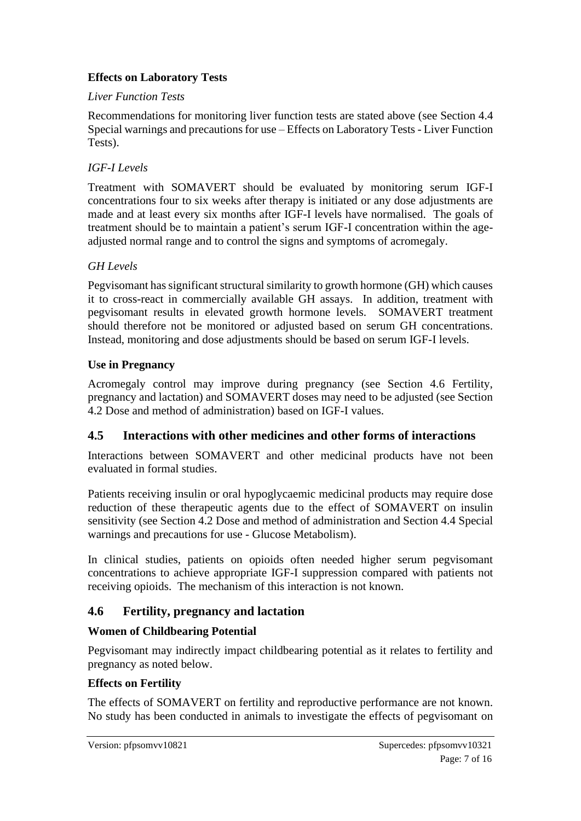### **Effects on Laboratory Tests**

#### *Liver Function Tests*

Recommendations for monitoring liver function tests are stated above (see Section 4.4 Special warnings and precautions for use – Effects on Laboratory Tests - Liver Function Tests).

### *IGF-I Levels*

Treatment with SOMAVERT should be evaluated by monitoring serum IGF-I concentrations four to six weeks after therapy is initiated or any dose adjustments are made and at least every six months after IGF-I levels have normalised. The goals of treatment should be to maintain a patient's serum IGF-I concentration within the ageadjusted normal range and to control the signs and symptoms of acromegaly.

### *GH Levels*

Pegvisomant has significant structural similarity to growth hormone (GH) which causes it to cross-react in commercially available GH assays. In addition, treatment with pegvisomant results in elevated growth hormone levels. SOMAVERT treatment should therefore not be monitored or adjusted based on serum GH concentrations. Instead, monitoring and dose adjustments should be based on serum IGF-I levels.

### **Use in Pregnancy**

Acromegaly control may improve during pregnancy (see Section 4.6 Fertility, pregnancy and lactation) and SOMAVERT doses may need to be adjusted (see Section 4.2 Dose and method of administration) based on IGF-I values.

### **4.5 Interactions with other medicines and other forms of interactions**

Interactions between SOMAVERT and other medicinal products have not been evaluated in formal studies.

Patients receiving insulin or oral hypoglycaemic medicinal products may require dose reduction of these therapeutic agents due to the effect of SOMAVERT on insulin sensitivity (see Section 4.2 Dose and method of administration and Section 4.4 Special warnings and precautions for use - Glucose Metabolism).

In clinical studies, patients on opioids often needed higher serum pegvisomant concentrations to achieve appropriate IGF-I suppression compared with patients not receiving opioids. The mechanism of this interaction is not known.

## **4.6 Fertility, pregnancy and lactation**

#### **Women of Childbearing Potential**

Pegvisomant may indirectly impact childbearing potential as it relates to fertility and pregnancy as noted below.

#### **Effects on Fertility**

The effects of SOMAVERT on fertility and reproductive performance are not known. No study has been conducted in animals to investigate the effects of pegvisomant on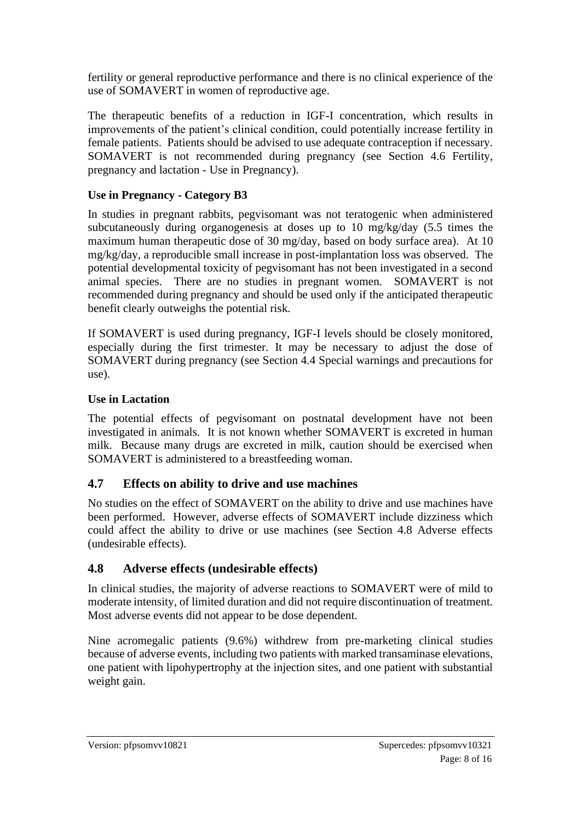fertility or general reproductive performance and there is no clinical experience of the use of SOMAVERT in women of reproductive age.

The therapeutic benefits of a reduction in IGF-I concentration, which results in improvements of the patient's clinical condition, could potentially increase fertility in female patients. Patients should be advised to use adequate contraception if necessary. SOMAVERT is not recommended during pregnancy (see Section 4.6 Fertility, pregnancy and lactation - Use in Pregnancy).

#### **Use in Pregnancy - Category B3**

In studies in pregnant rabbits, pegvisomant was not teratogenic when administered subcutaneously during organogenesis at doses up to 10 mg/kg/day (5.5 times the maximum human therapeutic dose of 30 mg/day, based on body surface area). At 10 mg/kg/day, a reproducible small increase in post-implantation loss was observed. The potential developmental toxicity of pegvisomant has not been investigated in a second animal species. There are no studies in pregnant women. SOMAVERT is not recommended during pregnancy and should be used only if the anticipated therapeutic benefit clearly outweighs the potential risk.

If SOMAVERT is used during pregnancy, IGF-I levels should be closely monitored, especially during the first trimester. It may be necessary to adjust the dose of SOMAVERT during pregnancy (see Section 4.4 Special warnings and precautions for use).

#### **Use in Lactation**

The potential effects of pegvisomant on postnatal development have not been investigated in animals. It is not known whether SOMAVERT is excreted in human milk. Because many drugs are excreted in milk, caution should be exercised when SOMAVERT is administered to a breastfeeding woman.

#### **4.7 Effects on ability to drive and use machines**

No studies on the effect of SOMAVERT on the ability to drive and use machines have been performed. However, adverse effects of SOMAVERT include dizziness which could affect the ability to drive or use machines (see Section 4.8 Adverse effects (undesirable effects).

#### **4.8 Adverse effects (undesirable effects)**

In clinical studies, the majority of adverse reactions to SOMAVERT were of mild to moderate intensity, of limited duration and did not require discontinuation of treatment. Most adverse events did not appear to be dose dependent.

Nine acromegalic patients (9.6%) withdrew from pre-marketing clinical studies because of adverse events, including two patients with marked transaminase elevations, one patient with lipohypertrophy at the injection sites, and one patient with substantial weight gain.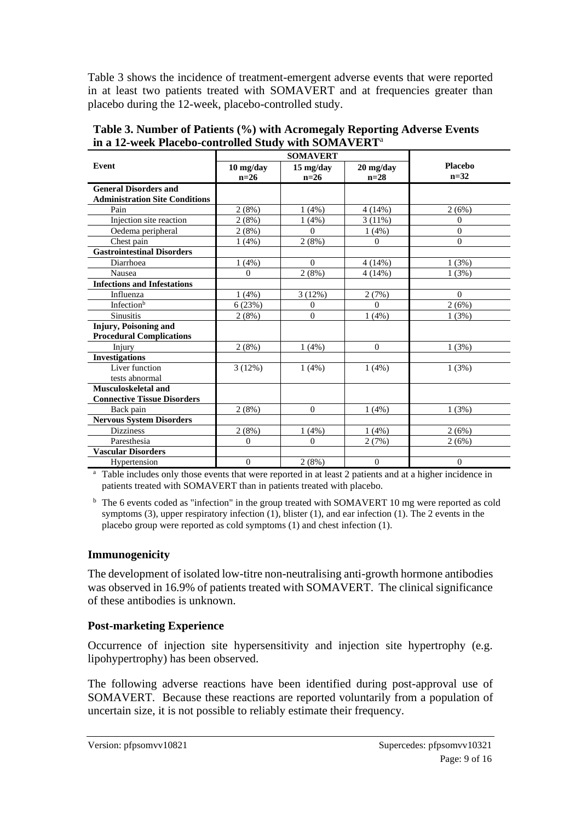Table 3 shows the incidence of treatment-emergent adverse events that were reported in at least two patients treated with SOMAVERT and at frequencies greater than placebo during the 12-week, placebo-controlled study.

| Event                                 | 10 mg/day      | 15 mg/day | $20$ mg/day  | <b>Placebo</b> |
|---------------------------------------|----------------|-----------|--------------|----------------|
|                                       | $n=26$         | $n=26$    | $n=28$       | $n = 32$       |
| <b>General Disorders and</b>          |                |           |              |                |
| <b>Administration Site Conditions</b> |                |           |              |                |
| Pain                                  | 2(8%)          | 1(4%)     | 4(14%)       | 2(6%)          |
| Injection site reaction               | 2(8%)          | 1(4%)     | 3(11%)       | $\theta$       |
| Oedema peripheral                     | 2(8%)          | $\Omega$  | $1(4\%)$     | $\overline{0}$ |
| Chest pain                            | $1(4\%)$       | 2(8%)     | $\Omega$     | $\overline{0}$ |
| <b>Gastrointestinal Disorders</b>     |                |           |              |                |
| Diarrhoea                             | 1(4%)          | $\theta$  | 4(14%)       | 1(3%)          |
| Nausea                                | $\Omega$       | 2(8%)     | 4(14%)       | 1(3%)          |
| <b>Infections and Infestations</b>    |                |           |              |                |
| Influenza                             | 1(4%)          | 3(12%)    | 2(7%)        | $\Omega$       |
| Infection <sup>b</sup>                | 6(23%)         | $\theta$  | $\theta$     | 2(6%)          |
| <b>Sinusitis</b>                      | 2(8%)          | $\theta$  | 1(4%)        | 1(3%)          |
| Injury, Poisoning and                 |                |           |              |                |
| <b>Procedural Complications</b>       |                |           |              |                |
| Injury                                | 2(8%)          | $1(4\%)$  | $\mathbf{0}$ | 1(3%)          |
| <b>Investigations</b>                 |                |           |              |                |
| Liver function                        | 3(12%)         | $1(4\%)$  | $1(4\%)$     | 1(3%)          |
| tests abnormal                        |                |           |              |                |
| Musculoskeletal and                   |                |           |              |                |
| <b>Connective Tissue Disorders</b>    |                |           |              |                |
| Back pain                             | 2(8%)          | $\Omega$  | 1(4%)        | 1(3%)          |
| <b>Nervous System Disorders</b>       |                |           |              |                |
| <b>Dizziness</b>                      | 2(8%)          | 1(4%)     | 1(4%)        | 2(6%)          |
| Paresthesia                           | $\Omega$       | $\Omega$  | 2(7%)        | 2(6%)          |
| <b>Vascular Disorders</b>             |                |           |              |                |
| Hypertension                          | $\overline{0}$ | 2(8%)     | $\mathbf{0}$ | $\theta$       |

**Table 3. Number of Patients (%) with Acromegaly Reporting Adverse Events in a 12-week Placebo-controlled Study with SOMAVERT**<sup>a</sup>

<sup>a</sup> Table includes only those events that were reported in at least 2 patients and at a higher incidence in patients treated with SOMAVERT than in patients treated with placebo.

<sup>b</sup> The 6 events coded as "infection" in the group treated with SOMAVERT 10 mg were reported as cold symptoms (3), upper respiratory infection (1), blister (1), and ear infection (1). The 2 events in the placebo group were reported as cold symptoms (1) and chest infection (1).

#### **Immunogenicity**

The development of isolated low-titre non-neutralising anti-growth hormone antibodies was observed in 16.9% of patients treated with SOMAVERT. The clinical significance of these antibodies is unknown.

#### **Post-marketing Experience**

Occurrence of injection site hypersensitivity and injection site hypertrophy (e.g. lipohypertrophy) has been observed.

The following adverse reactions have been identified during post-approval use of SOMAVERT. Because these reactions are reported voluntarily from a population of uncertain size, it is not possible to reliably estimate their frequency.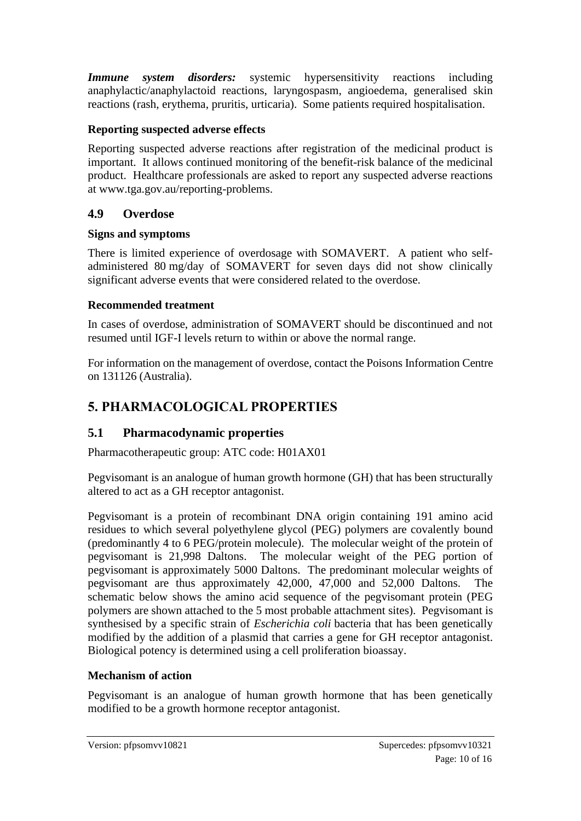**Immune** system disorders: systemic hypersensitivity reactions including anaphylactic/anaphylactoid reactions, laryngospasm, angioedema, generalised skin reactions (rash, erythema, pruritis, urticaria). Some patients required hospitalisation.

### **Reporting suspected adverse effects**

Reporting suspected adverse reactions after registration of the medicinal product is important. It allows continued monitoring of the benefit-risk balance of the medicinal product. Healthcare professionals are asked to report any suspected adverse reactions at [www.tga.gov.au/reporting-problems.](http://www.tga.gov.au/reporting-problems)

### **4.9 Overdose**

### **Signs and symptoms**

There is limited experience of overdosage with SOMAVERT. A patient who selfadministered 80 mg/day of SOMAVERT for seven days did not show clinically significant adverse events that were considered related to the overdose.

### **Recommended treatment**

In cases of overdose, administration of SOMAVERT should be discontinued and not resumed until IGF-I levels return to within or above the normal range.

For information on the management of overdose, contact the Poisons Information Centre on 131126 (Australia).

# **5. PHARMACOLOGICAL PROPERTIES**

## **5.1 Pharmacodynamic properties**

Pharmacotherapeutic group: ATC code: H01AX01

Pegvisomant is an analogue of human growth hormone (GH) that has been structurally altered to act as a GH receptor antagonist.

Pegvisomant is a protein of recombinant DNA origin containing 191 amino acid residues to which several polyethylene glycol (PEG) polymers are covalently bound (predominantly 4 to 6 PEG/protein molecule). The molecular weight of the protein of pegvisomant is 21,998 Daltons. The molecular weight of the PEG portion of pegvisomant is approximately 5000 Daltons. The predominant molecular weights of pegvisomant are thus approximately 42,000, 47,000 and 52,000 Daltons. The schematic below shows the amino acid sequence of the pegvisomant protein (PEG polymers are shown attached to the 5 most probable attachment sites). Pegvisomant is synthesised by a specific strain of *Escherichia coli* bacteria that has been genetically modified by the addition of a plasmid that carries a gene for GH receptor antagonist. Biological potency is determined using a cell proliferation bioassay.

### **Mechanism of action**

Pegvisomant is an analogue of human growth hormone that has been genetically modified to be a growth hormone receptor antagonist.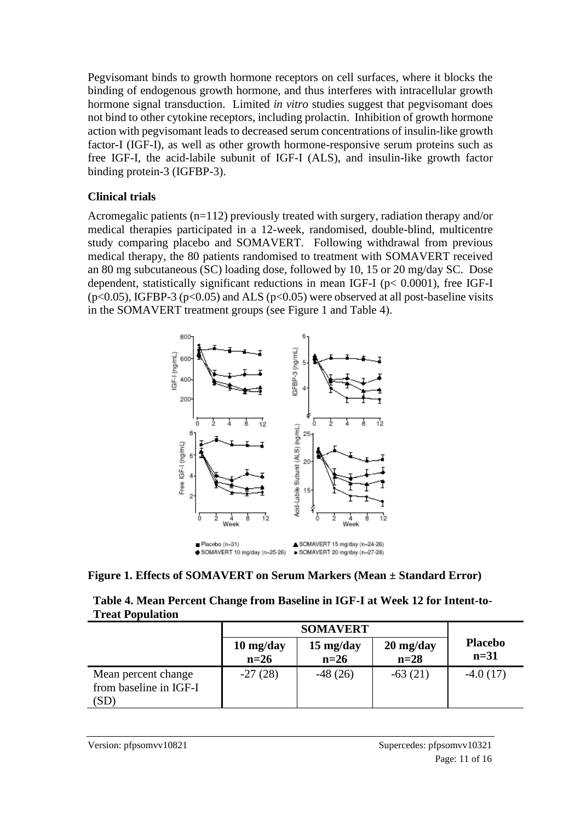Pegvisomant binds to growth hormone receptors on cell surfaces, where it blocks the binding of endogenous growth hormone, and thus interferes with intracellular growth hormone signal transduction. Limited *in vitro* studies suggest that pegvisomant does not bind to other cytokine receptors, including prolactin. Inhibition of growth hormone action with pegvisomant leads to decreased serum concentrations of insulin-like growth factor-I (IGF-I), as well as other growth hormone-responsive serum proteins such as free IGF-I, the acid-labile subunit of IGF-I (ALS), and insulin-like growth factor binding protein-3 (IGFBP-3).

#### **Clinical trials**

Acromegalic patients (n=112) previously treated with surgery, radiation therapy and/or medical therapies participated in a 12-week, randomised, double-blind, multicentre study comparing placebo and SOMAVERT. Following withdrawal from previous medical therapy, the 80 patients randomised to treatment with SOMAVERT received an 80 mg subcutaneous (SC) loading dose, followed by 10, 15 or 20 mg/day SC. Dose dependent, statistically significant reductions in mean IGF-I (p< 0.0001), free IGF-I ( $p<0.05$ ), IGFBP-3 ( $p<0.05$ ) and ALS ( $p<0.05$ ) were observed at all post-baseline visits in the SOMAVERT treatment groups (see Figure 1 and Table 4).





| Table 4. Mean Percent Change from Baseline in IGF-I at Week 12 for Intent-to- |
|-------------------------------------------------------------------------------|
| <b>Treat Population</b>                                                       |

|                                                       | <b>SOMAVERT</b>                             |                               |                                             |                          |
|-------------------------------------------------------|---------------------------------------------|-------------------------------|---------------------------------------------|--------------------------|
|                                                       | $10 \frac{\text{mg}}{\text{day}}$<br>$n=26$ | $15 \text{ mg/day}$<br>$n=26$ | $20 \frac{\text{mg}}{\text{day}}$<br>$n=28$ | <b>Placebo</b><br>$n=31$ |
| Mean percent change<br>from baseline in IGF-I<br>(SD) | $-27(28)$                                   | $-48(26)$                     | $-63(21)$                                   | $-4.0(17)$               |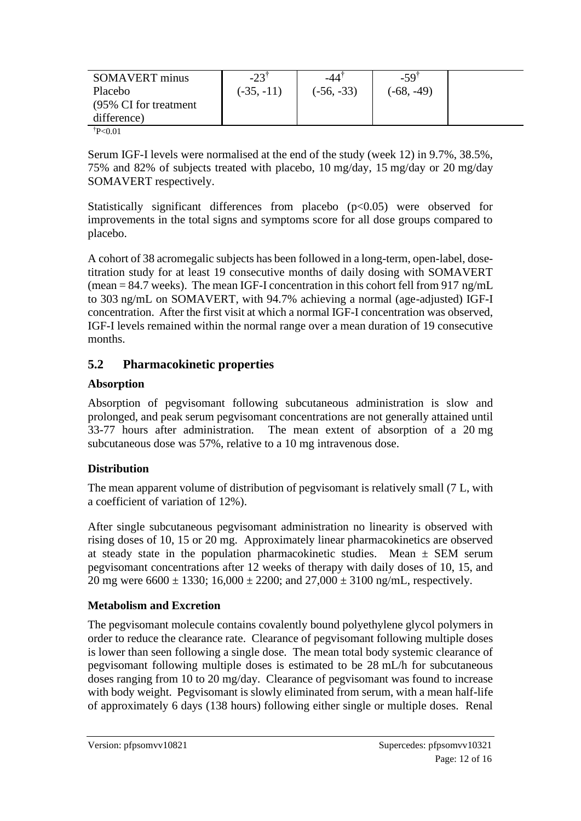| Placebo<br>$(-35, -11)$<br>$(-56, -33)$<br>$(-68, -49)$<br>(95% CI for treatment)<br>difference) | SOMAVERT minus | $-23^{\circ}$ | -44 | $-59$ <sup>T</sup> |  |
|--------------------------------------------------------------------------------------------------|----------------|---------------|-----|--------------------|--|
|                                                                                                  |                |               |     |                    |  |
|                                                                                                  |                |               |     |                    |  |
|                                                                                                  |                |               |     |                    |  |

 $\text{P}<0.01$ 

Serum IGF-I levels were normalised at the end of the study (week 12) in 9.7%, 38.5%, 75% and 82% of subjects treated with placebo, 10 mg/day, 15 mg/day or 20 mg/day SOMAVERT respectively.

Statistically significant differences from placebo (p<0.05) were observed for improvements in the total signs and symptoms score for all dose groups compared to placebo.

A cohort of 38 acromegalic subjects has been followed in a long-term, open-label, dosetitration study for at least 19 consecutive months of daily dosing with SOMAVERT (mean = 84.7 weeks). The mean IGF-I concentration in this cohort fell from 917 ng/mL to 303 ng/mL on SOMAVERT, with 94.7% achieving a normal (age-adjusted) IGF-I concentration. After the first visit at which a normal IGF-I concentration was observed, IGF-I levels remained within the normal range over a mean duration of 19 consecutive months.

### **5.2 Pharmacokinetic properties**

#### **Absorption**

Absorption of pegvisomant following subcutaneous administration is slow and prolonged, and peak serum pegvisomant concentrations are not generally attained until 33-77 hours after administration. The mean extent of absorption of a 20 mg subcutaneous dose was 57%, relative to a 10 mg intravenous dose.

#### **Distribution**

The mean apparent volume of distribution of pegvisomant is relatively small (7 L, with a coefficient of variation of 12%).

After single subcutaneous pegvisomant administration no linearity is observed with rising doses of 10, 15 or 20 mg. Approximately linear pharmacokinetics are observed at steady state in the population pharmacokinetic studies. Mean  $\pm$  SEM serum pegvisomant concentrations after 12 weeks of therapy with daily doses of 10, 15, and 20 mg were  $6600 \pm 1330$ ;  $16,000 \pm 2200$ ; and  $27,000 \pm 3100$  ng/mL, respectively.

#### **Metabolism and Excretion**

The pegvisomant molecule contains covalently bound polyethylene glycol polymers in order to reduce the clearance rate. Clearance of pegvisomant following multiple doses is lower than seen following a single dose. The mean total body systemic clearance of pegvisomant following multiple doses is estimated to be 28 mL/h for subcutaneous doses ranging from 10 to 20 mg/day. Clearance of pegvisomant was found to increase with body weight. Pegvisomant is slowly eliminated from serum, with a mean half-life of approximately 6 days (138 hours) following either single or multiple doses. Renal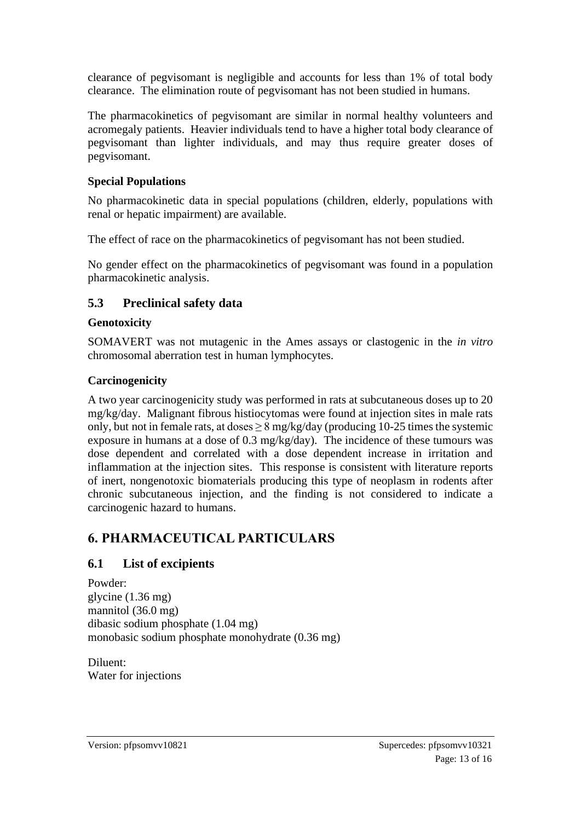clearance of pegvisomant is negligible and accounts for less than 1% of total body clearance. The elimination route of pegvisomant has not been studied in humans.

The pharmacokinetics of pegvisomant are similar in normal healthy volunteers and acromegaly patients. Heavier individuals tend to have a higher total body clearance of pegvisomant than lighter individuals, and may thus require greater doses of pegvisomant.

#### **Special Populations**

No pharmacokinetic data in special populations (children, elderly, populations with renal or hepatic impairment) are available.

The effect of race on the pharmacokinetics of pegvisomant has not been studied.

No gender effect on the pharmacokinetics of pegvisomant was found in a population pharmacokinetic analysis.

## **5.3 Preclinical safety data**

### **Genotoxicity**

SOMAVERT was not mutagenic in the Ames assays or clastogenic in the *in vitro* chromosomal aberration test in human lymphocytes.

### **Carcinogenicity**

A two year carcinogenicity study was performed in rats at subcutaneous doses up to 20 mg/kg/day. Malignant fibrous histiocytomas were found at injection sites in male rats only, but not in female rats, at doses  $\geq 8$  mg/kg/day (producing 10-25 times the systemic exposure in humans at a dose of 0.3 mg/kg/day). The incidence of these tumours was dose dependent and correlated with a dose dependent increase in irritation and inflammation at the injection sites. This response is consistent with literature reports of inert, nongenotoxic biomaterials producing this type of neoplasm in rodents after chronic subcutaneous injection, and the finding is not considered to indicate a carcinogenic hazard to humans.

# **6. PHARMACEUTICAL PARTICULARS**

## **6.1 List of excipients**

Powder: glycine (1.36 mg) mannitol (36.0 mg) dibasic sodium phosphate (1.04 mg) monobasic sodium phosphate monohydrate (0.36 mg)

Diluent: Water for injections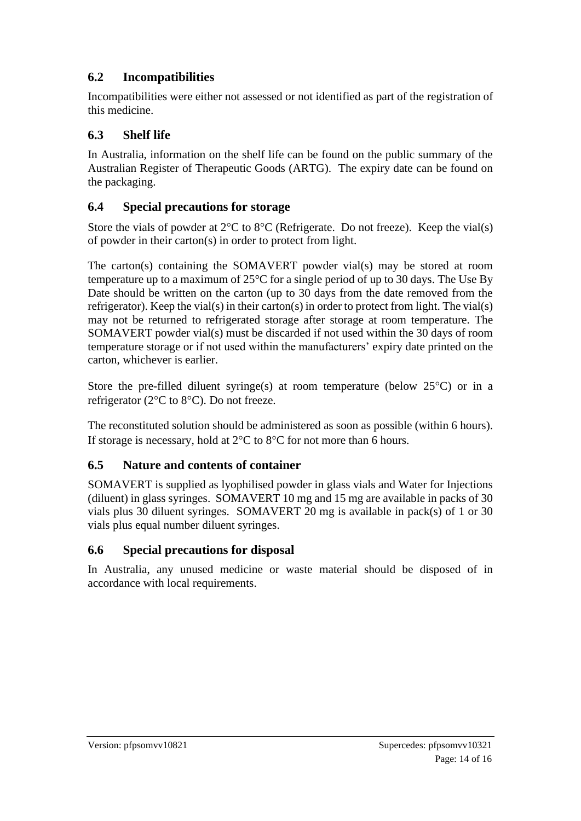# **6.2 Incompatibilities**

Incompatibilities were either not assessed or not identified as part of the registration of this medicine.

# **6.3 Shelf life**

In Australia, information on the shelf life can be found on the public summary of the Australian Register of Therapeutic Goods (ARTG). The expiry date can be found on the packaging.

# **6.4 Special precautions for storage**

Store the vials of powder at  $2^{\circ}C$  to  $8^{\circ}C$  (Refrigerate. Do not freeze). Keep the vial(s) of powder in their carton(s) in order to protect from light.

The carton(s) containing the SOMAVERT powder vial(s) may be stored at room temperature up to a maximum of 25°C for a single period of up to 30 days. The Use By Date should be written on the carton (up to 30 days from the date removed from the refrigerator). Keep the vial(s) in their carton(s) in order to protect from light. The vial(s) may not be returned to refrigerated storage after storage at room temperature. The SOMAVERT powder vial(s) must be discarded if not used within the 30 days of room temperature storage or if not used within the manufacturers' expiry date printed on the carton, whichever is earlier.

Store the pre-filled diluent syringe(s) at room temperature (below  $25^{\circ}$ C) or in a refrigerator ( $2^{\circ}$ C to  $8^{\circ}$ C). Do not freeze.

The reconstituted solution should be administered as soon as possible (within 6 hours). If storage is necessary, hold at  $2^{\circ}C$  to  $8^{\circ}C$  for not more than 6 hours.

# **6.5 Nature and contents of container**

SOMAVERT is supplied as lyophilised powder in glass vials and Water for Injections (diluent) in glass syringes. SOMAVERT 10 mg and 15 mg are available in packs of 30 vials plus 30 diluent syringes. SOMAVERT 20 mg is available in pack(s) of 1 or 30 vials plus equal number diluent syringes.

## **6.6 Special precautions for disposal**

In Australia, any unused medicine or waste material should be disposed of in accordance with local requirements.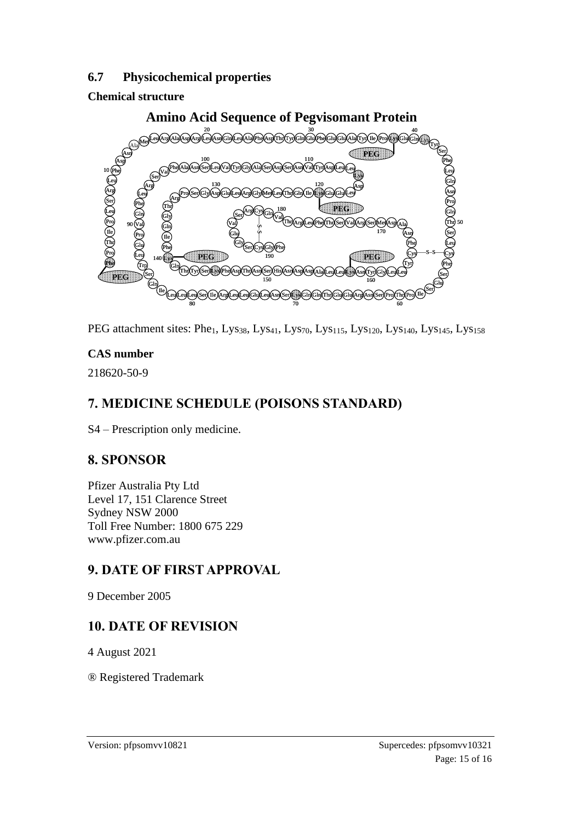### **6.7 Physicochemical properties**

## **Chemical structure**



PEG attachment sites: Phe<sub>1</sub>, Lys<sub>38</sub>, Lys<sub>41</sub>, Lys<sub>70</sub>, Lys<sub>115</sub>, Lys<sub>120</sub>, Lys<sub>140</sub>, Lys<sub>145</sub>, Lys<sub>158</sub>

## **CAS number**

218620-50-9

# **7. MEDICINE SCHEDULE (POISONS STANDARD)**

S4 – Prescription only medicine.

# **8. SPONSOR**

Pfizer Australia Pty Ltd Level 17, 151 Clarence Street Sydney NSW 2000 Toll Free Number: 1800 675 229 www.pfizer.com.au

# **9. DATE OF FIRST APPROVAL**

9 December 2005

# **10. DATE OF REVISION**

4 August 2021

® Registered Trademark